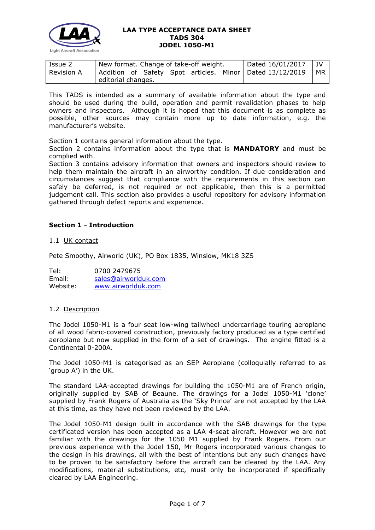

| Issue 2           | New format. Change of take-off weight. |  |  |  |  |  | Dated 16/01/2017                                           | JV |
|-------------------|----------------------------------------|--|--|--|--|--|------------------------------------------------------------|----|
| <b>Revision A</b> |                                        |  |  |  |  |  | Addition of Safety Spot articles. Minor   Dated 13/12/2019 | МR |
|                   | editorial changes.                     |  |  |  |  |  |                                                            |    |

This TADS is intended as a summary of available information about the type and should be used during the build, operation and permit revalidation phases to help owners and inspectors. Although it is hoped that this document is as complete as possible, other sources may contain more up to date information, e.g. the manufacturer's website.

Section 1 contains general information about the type.

Section 2 contains information about the type that is **MANDATORY** and must be complied with.

Section 3 contains advisory information that owners and inspectors should review to help them maintain the aircraft in an airworthy condition. If due consideration and circumstances suggest that compliance with the requirements in this section can safely be deferred, is not required or not applicable, then this is a permitted judgement call. This section also provides a useful repository for advisory information gathered through defect reports and experience.

# **Section 1 - Introduction**

1.1 UK contact

Pete Smoothy, Airworld (UK), PO Box 1835, Winslow, MK18 3ZS

Tel: 0700 2479675<br>Email: sales@airworld [sales@airworlduk.com](mailto:sales@airworlduk.com) Website: [www.airworlduk.com](http://www.airworlduk.com/)

## 1.2 Description

The Jodel 1050-M1 is a four seat low-wing tailwheel undercarriage touring aeroplane of all wood fabric-covered construction, previously factory produced as a type certified aeroplane but now supplied in the form of a set of drawings. The engine fitted is a Continental 0-200A.

The Jodel 1050-M1 is categorised as an SEP Aeroplane (colloquially referred to as 'group A') in the UK.

The standard LAA-accepted drawings for building the 1050-M1 are of French origin, originally supplied by SAB of Beaune. The drawings for a Jodel 1050-M1 'clone' supplied by Frank Rogers of Australia as the 'Sky Prince' are not accepted by the LAA at this time, as they have not been reviewed by the LAA.

The Jodel 1050-M1 design built in accordance with the SAB drawings for the type certificated version has been accepted as a LAA 4-seat aircraft. However we are not familiar with the drawings for the 1050 M1 supplied by Frank Rogers. From our previous experience with the Jodel 150, Mr Rogers incorporated various changes to the design in his drawings, all with the best of intentions but any such changes have to be proven to be satisfactory before the aircraft can be cleared by the LAA. Any modifications, material substitutions, etc, must only be incorporated if specifically cleared by LAA Engineering.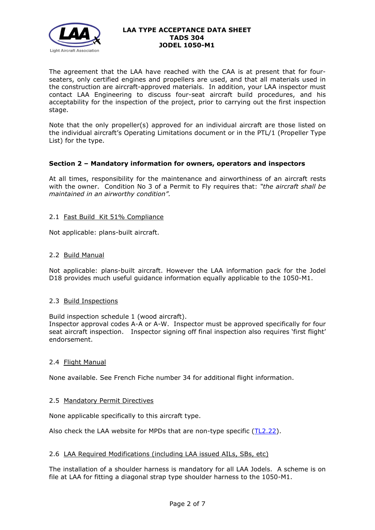

The agreement that the LAA have reached with the CAA is at present that for fourseaters, only certified engines and propellers are used, and that all materials used in the construction are aircraft-approved materials. In addition, your LAA inspector must contact LAA Engineering to discuss four-seat aircraft build procedures, and his acceptability for the inspection of the project, prior to carrying out the first inspection stage.

Note that the only propeller(s) approved for an individual aircraft are those listed on the individual aircraft's Operating Limitations document or in the PTL/1 (Propeller Type List) for the type.

# **Section 2 – Mandatory information for owners, operators and inspectors**

At all times, responsibility for the maintenance and airworthiness of an aircraft rests with the owner. Condition No 3 of a Permit to Fly requires that: *"the aircraft shall be maintained in an airworthy condition".* 

# 2.1 Fast Build Kit 51% Compliance

Not applicable: plans-built aircraft.

## 2.2 Build Manual

Not applicable: plans-built aircraft. However the LAA information pack for the Jodel D18 provides much useful guidance information equally applicable to the 1050-M1.

## 2.3 Build Inspections

Build inspection schedule 1 (wood aircraft).

Inspector approval codes A-A or A-W. Inspector must be approved specifically for four seat aircraft inspection. Inspector signing off final inspection also requires 'first flight' endorsement.

## 2.4 Flight Manual

None available. See French Fiche number 34 for additional flight information.

## 2.5 Mandatory Permit Directives

None applicable specifically to this aircraft type.

Also check the LAA website for MPDs that are non-type specific [\(TL2.22\)](http://www.lightaircraftassociation.co.uk/engineering/TechnicalLeaflets/Operating%20An%20Aircraft/TL%202.22%20non-type%20specific%20MPDs.pdf).

## 2.6 LAA Required Modifications (including LAA issued AILs, SBs, etc)

The installation of a shoulder harness is mandatory for all LAA Jodels. A scheme is on file at LAA for fitting a diagonal strap type shoulder harness to the 1050-M1.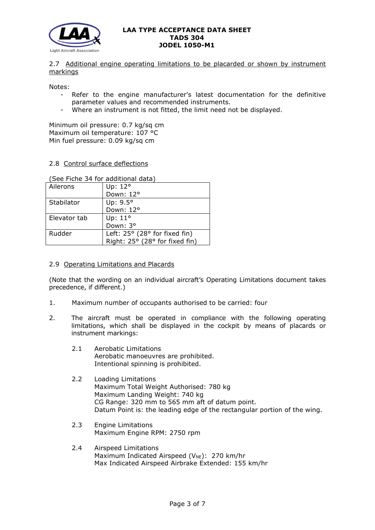

## 2.7 Additional engine operating limitations to be placarded or shown by instrument markings

Notes:

- Refer to the engine manufacturer's latest documentation for the definitive parameter values and recommended instruments.
- Where an instrument is not fitted, the limit need not be displayed.

Minimum oil pressure: 0.7 kg/sq cm Maximum oil temperature: 107 °C Min fuel pressure: 0.09 kg/sq cm

### 2.8 Control surface deflections

(See Fiche 34 for additional data) Ailerons | Up: 12°

| Allerons     | Up: $12^{\circ}$                       |
|--------------|----------------------------------------|
|              | Down: 12°                              |
| Stabilator   | Up: $9.5^\circ$                        |
|              | Down: 12°                              |
| Elevator tab | Up: $11^\circ$                         |
|              | Down: 3°                               |
| Rudder       | Left: $25^{\circ}$ (28° for fixed fin) |
|              | Right: 25° (28° for fixed fin)         |

#### 2.9 Operating Limitations and Placards

(Note that the wording on an individual aircraft's Operating Limitations document takes precedence, if different.)

- 1. Maximum number of occupants authorised to be carried: four
- 2. The aircraft must be operated in compliance with the following operating limitations, which shall be displayed in the cockpit by means of placards or instrument markings:
	- 2.1 Aerobatic Limitations Aerobatic manoeuvres are prohibited. Intentional spinning is prohibited.
	- 2.2 Loading Limitations Maximum Total Weight Authorised: 780 kg Maximum Landing Weight: 740 kg CG Range: 320 mm to 565 mm aft of datum point. Datum Point is: the leading edge of the rectangular portion of the wing.
	- 2.3 Engine Limitations Maximum Engine RPM: 2750 rpm
	- 2.4 Airspeed Limitations Maximum Indicated Airspeed (V<sub>NE</sub>): 270 km/hr Max Indicated Airspeed Airbrake Extended: 155 km/hr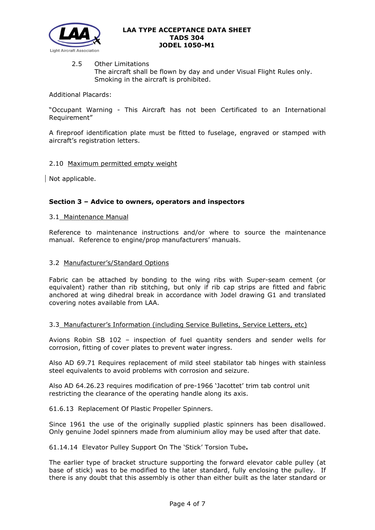

2.5 Other Limitations The aircraft shall be flown by day and under Visual Flight Rules only. Smoking in the aircraft is prohibited.

Additional Placards:

"Occupant Warning - This Aircraft has not been Certificated to an International Requirement"

A fireproof identification plate must be fitted to fuselage, engraved or stamped with aircraft's registration letters.

## 2.10 Maximum permitted empty weight

Not applicable.

# **Section 3 – Advice to owners, operators and inspectors**

## 3.1 Maintenance Manual

Reference to maintenance instructions and/or where to source the maintenance manual. Reference to engine/prop manufacturers' manuals.

### 3.2 Manufacturer's/Standard Options

Fabric can be attached by bonding to the wing ribs with Super-seam cement (or equivalent) rather than rib stitching, but only if rib cap strips are fitted and fabric anchored at wing dihedral break in accordance with Jodel drawing G1 and translated covering notes available from LAA.

## 3.3 Manufacturer's Information (including Service Bulletins, Service Letters, etc)

Avions Robin SB 102 – inspection of fuel quantity senders and sender wells for corrosion, fitting of cover plates to prevent water ingress.

Also AD 69.71 Requires replacement of mild steel stabilator tab hinges with stainless steel equivalents to avoid problems with corrosion and seizure.

Also AD 64.26.23 requires modification of pre-1966 'Jacottet' trim tab control unit restricting the clearance of the operating handle along its axis.

61.6.13 Replacement Of Plastic Propeller Spinners.

Since 1961 the use of the originally supplied plastic spinners has been disallowed. Only genuine Jodel spinners made from aluminium alloy may be used after that date.

61.14.14 Elevator Pulley Support On The 'Stick' Torsion Tube**.**

The earlier type of bracket structure supporting the forward elevator cable pulley (at base of stick) was to be modified to the later standard, fully enclosing the pulley. If there is any doubt that this assembly is other than either built as the later standard or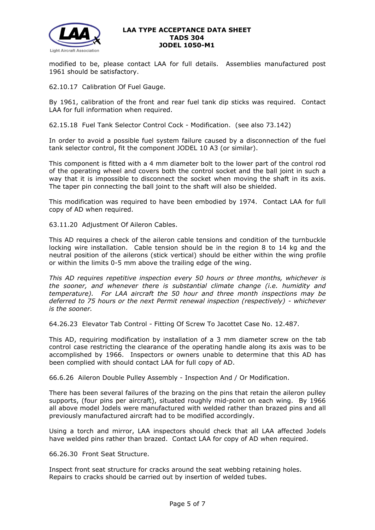

modified to be, please contact LAA for full details. Assemblies manufactured post 1961 should be satisfactory.

62.10.17 Calibration Of Fuel Gauge.

By 1961, calibration of the front and rear fuel tank dip sticks was required. Contact LAA for full information when required.

62.15.18 Fuel Tank Selector Control Cock - Modification. (see also 73.142)

In order to avoid a possible fuel system failure caused by a disconnection of the fuel tank selector control, fit the component JODEL 10 A3 (or similar).

This component is fitted with a 4 mm diameter bolt to the lower part of the control rod of the operating wheel and covers both the control socket and the ball joint in such a way that it is impossible to disconnect the socket when moving the shaft in its axis. The taper pin connecting the ball joint to the shaft will also be shielded.

This modification was required to have been embodied by 1974. Contact LAA for full copy of AD when required.

63.11.20 Adjustment Of Aileron Cables.

This AD requires a check of the aileron cable tensions and condition of the turnbuckle locking wire installation. Cable tension should be in the region 8 to 14 kg and the neutral position of the ailerons (stick vertical) should be either within the wing profile or within the limits 0-5 mm above the trailing edge of the wing.

*This AD requires repetitive inspection every 50 hours or three months, whichever is the sooner, and whenever there is substantial climate change (i.e. humidity and temperature). For LAA aircraft the 50 hour and three month inspections may be deferred to 75 hours or the next Permit renewal inspection (respectively) - whichever is the sooner.*

64.26.23 Elevator Tab Control - Fitting Of Screw To Jacottet Case No. 12.487.

This AD, requiring modification by installation of a 3 mm diameter screw on the tab control case restricting the clearance of the operating handle along its axis was to be accomplished by 1966. Inspectors or owners unable to determine that this AD has been complied with should contact LAA for full copy of AD.

66.6.26 Aileron Double Pulley Assembly - Inspection And / Or Modification.

There has been several failures of the brazing on the pins that retain the aileron pulley supports, (four pins per aircraft), situated roughly mid-point on each wing. By 1966 all above model Jodels were manufactured with welded rather than brazed pins and all previously manufactured aircraft had to be modified accordingly.

Using a torch and mirror, LAA inspectors should check that all LAA affected Jodels have welded pins rather than brazed. Contact LAA for copy of AD when required.

66.26.30 Front Seat Structure.

Inspect front seat structure for cracks around the seat webbing retaining holes. Repairs to cracks should be carried out by insertion of welded tubes.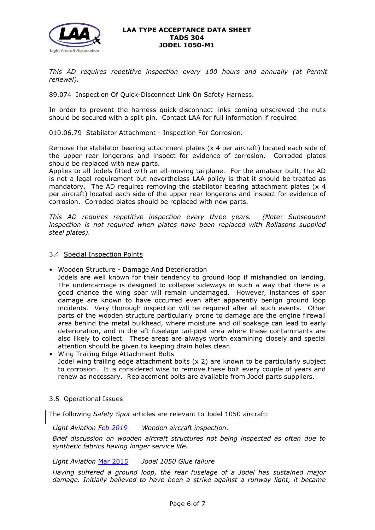

*This AD requires repetitive inspection every 100 hours and annually (at Permit renewal).*

89.074 Inspection Of Quick-Disconnect Link On Safety Harness.

In order to prevent the harness quick-disconnect links coming unscrewed the nuts should be secured with a split pin. Contact LAA for full information if required.

010.06.79 Stabilator Attachment - Inspection For Corrosion.

Remove the stabilator bearing attachment plates (x 4 per aircraft) located each side of the upper rear longerons and inspect for evidence of corrosion. Corroded plates should be replaced with new parts.

Applies to all Jodels fitted with an all-moving tailplane. For the amateur built, the AD is not a legal requirement but nevertheless LAA policy is that it should be treated as mandatory. The AD requires removing the stabilator bearing attachment plates (x 4 per aircraft) located each side of the upper rear longerons and inspect for evidence of corrosion. Corroded plates should be replaced with new parts.

*This AD requires repetitive inspection every three years. (Note: Subsequent inspection is not required when plates have been replaced with Rollasons supplied steel plates).* 

- 3.4 Special Inspection Points
- Wooden Structure Damage And Deterioration

Jodels are well known for their tendency to ground loop if mishandled on landing. The undercarriage is designed to collapse sideways in such a way that there is a good chance the wing spar will remain undamaged. However, instances of spar damage are known to have occurred even after apparently benign ground loop incidents. Very thorough inspection will be required after all such events. Other parts of the wooden structure particularly prone to damage are the engine firewall area behind the metal bulkhead, where moisture and oil soakage can lead to early deterioration, and in the aft fuselage tail-post area where these contaminants are also likely to collect. These areas are always worth examining closely and special attention should be given to keeping drain holes clear.

• Wing Trailing Edge Attachment Bolts Jodel wing trailing edge attachment bolts (x 2) are known to be particularly subject to corrosion. It is considered wise to remove these bolt every couple of years and renew as necessary. Replacement bolts are available from Jodel parts suppliers.

## 3.5 Operational Issues

The following *Safety Spot* articles are relevant to Jodel 1050 aircraft:

*Light Aviation [Feb 2019](http://www.lightaircraftassociation.co.uk/2019/Magazine/Feb/ss_feb.pdf) Wooden aircraft inspection.* 

*Brief discussion on wooden aircraft structures not being inspected as often due to synthetic fabrics having longer service life.*

## *Light Aviation* [Mar 2015](http://www.lightaircraftassociation.co.uk/2015/Magazine/Mar/safety_spot.pdf) *Jodel 1050 Glue failure*

*Having suffered a ground loop, the rear fuselage of a Jodel has sustained major damage. Initially believed to have been a strike against a runway light, it became*